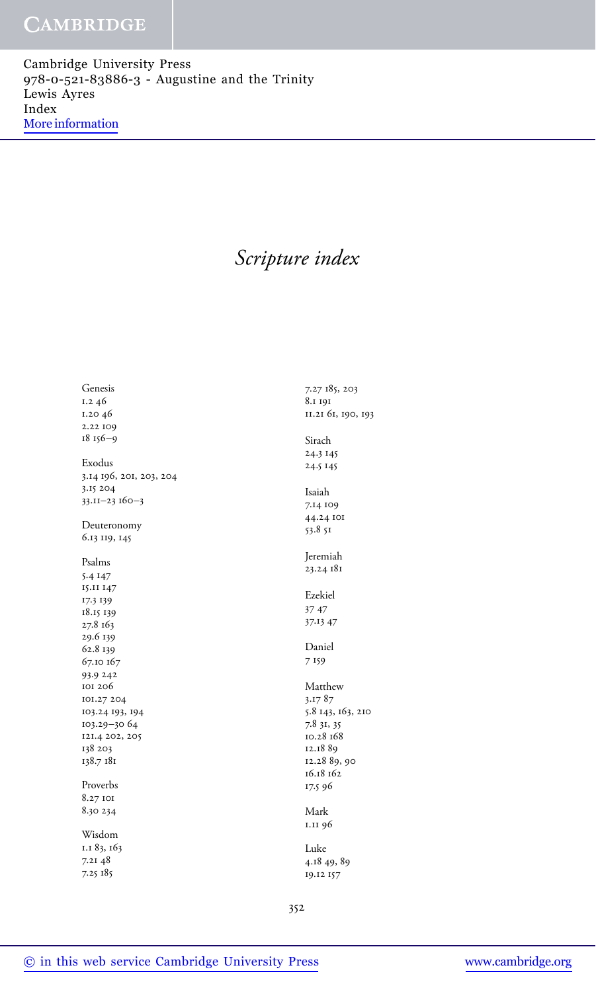Cambridge University Press 978-0-521-83886-3 - Augustine and the Trinity Lewis Ayres Index [More information](http://www.cambridge.org/9780521838863)

# *Scripture index*

Genesis 1.2 46 1.20 46 2.22 109 18 156–9 Exodus 3.14 196, 201, 203, 204 3.15 204 33.11–23 160–3 Deuteronomy 6.13 119, 145 Psalms 5.4 147 15.11 147 17.3 139 18.15 139 27.8 163 29.6 139 62.8 139 67.10 167 93.9 242 101 206 101.27 204 103.24 193, 194 103.29–30 64 121.4 202, 205 138 203 138.7 181 Proverbs 8.27 101 8.30 234 Wisdom 1.1 83, 163 7.21 48 7.25 185

7.27 185, 203 8.1 191 11.21 61, 190, 193 Sirach 24.3 145 24.5 145 Isaiah 7.14 109 44.24 101 53.8 51 Jeremiah 23.24 181 Ezekiel 37 47 37.13 47 Daniel 7 159 Matthew 3.17 87 5.8 143, 163, 210 7.8 31, 35 10.28 168 12.18 89 12.28 89, 90 16.18 162 17.5 96 Mark 1.11 96 Luke 4.18 49, 89 19.12 157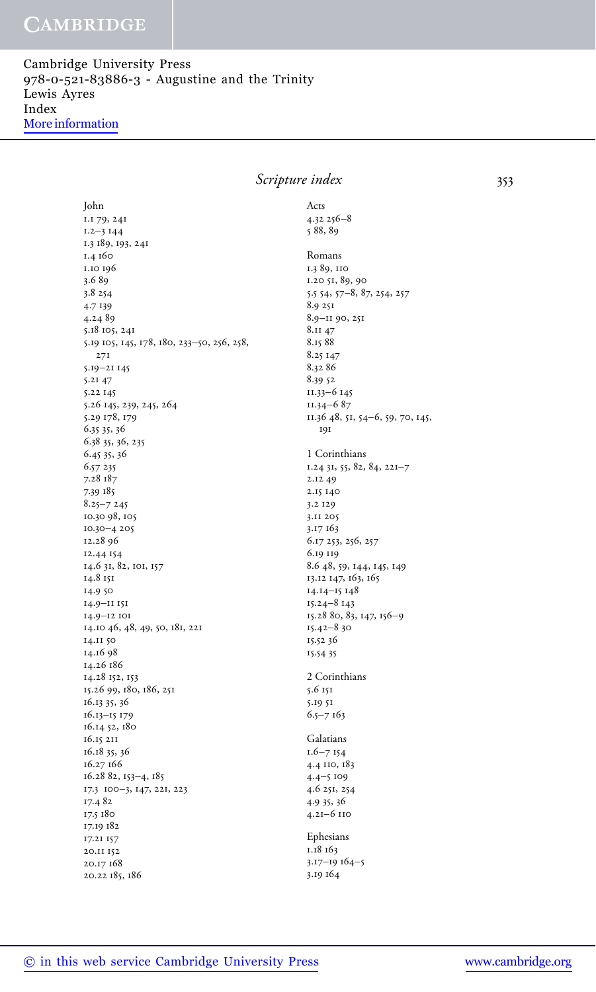Cambridge University Press 978-0-521-83886-3 - Augustine and the Trinity Lewis Ayres Index [More information](http://www.cambridge.org/9780521838863)

> *Scripture index* 353 John 1.1 79, 241 1.2–3 144 1.3 189, 193, 241 1.4 160 1.10 196 3.6 89 3.8 254 4.7 139 4.24 89 5.18 105, 241 5.19 105, 145, 178, 180, 233–50, 256, 258, 271 5.19–21 145 5.21 47 5.22 145 5.26 145, 239, 245, 264 5.29 178, 179 6.35 35, 36 6.38 35, 36, 235 6.45 35, 36 6.57 235 7.28 187 7.39 185 8.25–7 245 10.30 98, 105 10.30–4 205 12.28 96 12.44 154 14.6 31, 82, 101, 157 14.8 151 14.9 50 14.9–11 151 14.9–12 101 14.10 46, 48, 49, 50, 181, 221 14.11 50 14.16 98 14.26 186 14.28 152, 153 15.26 99, 180, 186, 251 16.13 35, 36 16.13–15 179 16.14 52, 180 16.15 211 16.18 35, 36 16.27 166 16.28 82, 153–4, 185 17.3 100–3, 147, 221, 223 17.4 82 17.5 180 17.19 182 17.21 157 20.11 152 20.17 168 20.22 185, 186 Acts 4.32 256–8 5 88, 89 Romans 1.3 89, 110 1.20 51, 89, 90 5.5 54, 57–8, 87, 254, 257 8.9 251 8.9–11 90, 251 8.11 47 8.15 88 8.25 147 8.32 86 8.39 52 11.33–6 145 11.34–6 87 11.36 48, 51, 54–6, 59, 70, 145, 191 1 Corinthians 1.24 31, 55, 82, 84, 221–7 2.12 49 2.15 140 3.2 129 3.11 205 3.17 163 6.17 253, 256, 257 6.19 119 8.6 48, 59, 144, 145, 149 13.12 147, 163, 165 14.14–15 148 15.24–8 143 15.28 80, 83, 147, 156–9 15.42–8 30 15.52 36 15.54 35 2 Corinthians 5.6 151 5.19 51 6.5–7 163 Galatians 1.6–7 154 4.4 110, 183 4.4–5 109 4.6 251, 254 4.9 35, 36 4.21–6 110 Ephesians 1.18 163 3.17–19 164–5 3.19 164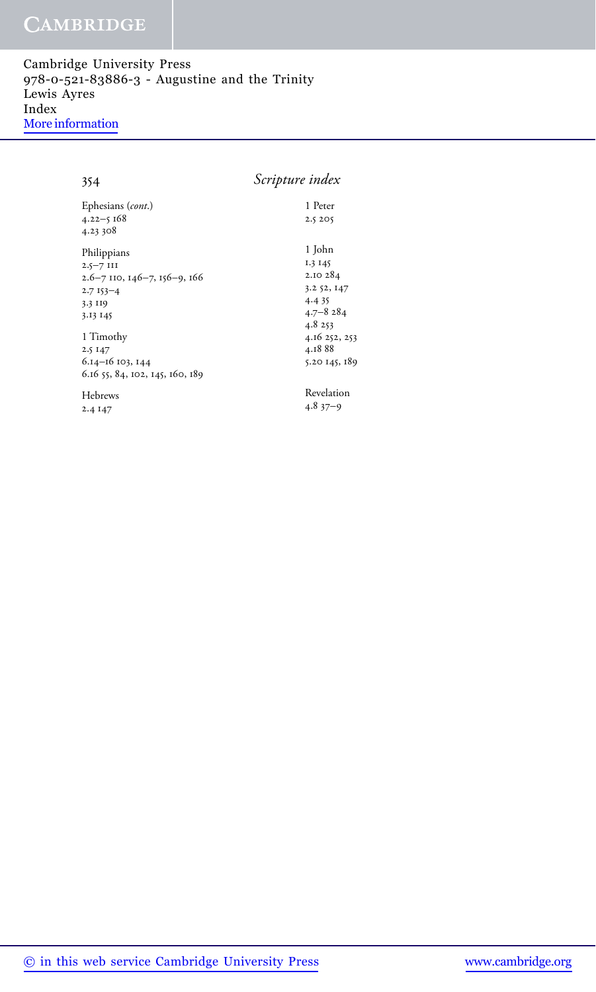Cambridge University Press 978-0-521-83886-3 - Augustine and the Trinity Lewis Ayres Index [More information](http://www.cambridge.org/9780521838863)

354 *Scripture index*

| Ephesians (cont.)                            | 1 Peter       |
|----------------------------------------------|---------------|
| $4.22 - 5.168$                               | 2.5 205       |
| 4.23 308                                     |               |
| Philippians                                  | 1 John        |
| $2.5 - 7$ III                                | 1.3 145       |
| $2.6 - 7$ IIO, $146 - 7$ , $156 - 9$ , $166$ | 2.10 284      |
| $2.7153 - 4$                                 | 3.2 52, 147   |
| 3.3 119                                      | 4.435         |
| 3.13 145                                     | $4.7 - 8284$  |
|                                              | 4.8 253       |
| 1 Timothy                                    | 4.16 252, 253 |
| 2.5 147                                      | 4.1888        |
| 6.14-16 103, 144                             | 5.20 145, 189 |
| 6.16 55, 84, 102, 145, 160, 189              |               |
| Hebrews                                      | Revelation    |
| 2.4 147                                      | $4.837 - 9$   |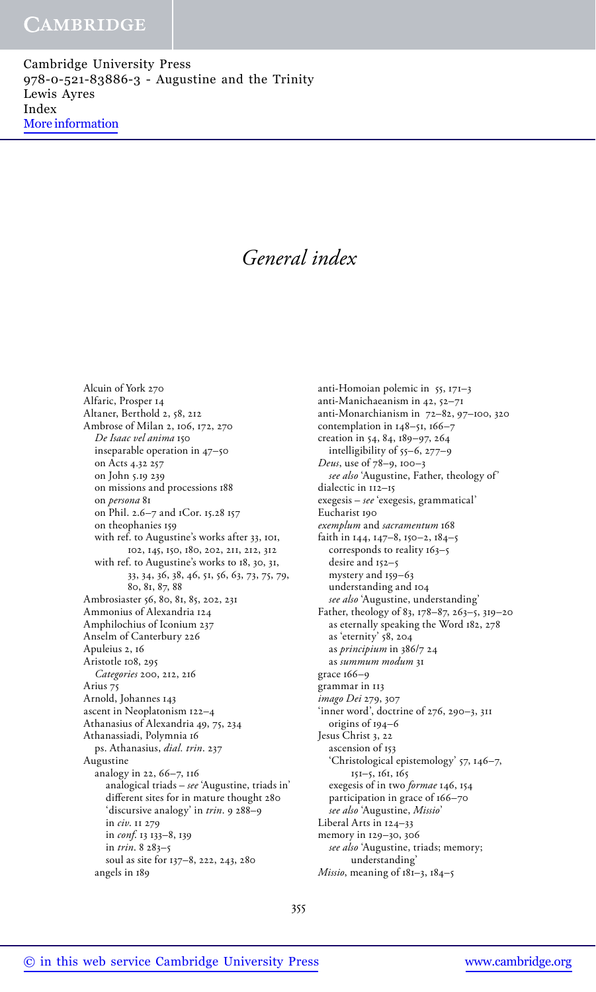Cambridge University Press 978-0-521-83886-3 - Augustine and the Trinity Lewis Ayres Index [More information](http://www.cambridge.org/9780521838863)

# *General index*

Alcuin of York 270 Alfaric, Prosper 14 Altaner, Berthold 2, 58, 212 Ambrose of Milan 2, 106, 172, 270 *De Isaac vel anima* 150 inseparable operation in 47–50 on Acts 4.32 257 on John 5.19 239 on missions and processions 188 on *persona* 81 on Phil. 2.6–7 and 1Cor. 15.28 157 on theophanies 159 with ref. to Augustine's works after 33, 101, 102, 145, 150, 180, 202, 211, 212, 312 with ref. to Augustine's works to 18, 30, 31, 33, 34, 36, 38, 46, 51, 56, 63, 73, 75, 79, 80, 81, 87, 88 Ambrosiaster 56, 80, 81, 85, 202, 231 Ammonius of Alexandria 124 Amphilochius of Iconium 237 Anselm of Canterbury 226 Apuleius 2, 16 Aristotle 108, 295 *Categories* 200, 212, 216 Arius 75 Arnold, Johannes 143 ascent in Neoplatonism 122–4 Athanasius of Alexandria 49, 75, 234 Athanassiadi, Polymnia 16 ps. Athanasius, *dial. trin*. 237 Augustine analogy in 22, 66–7, 116 analogical triads – *see* 'Augustine, triads in' different sites for in mature thought 280 'discursive analogy' in *trin*. 9 288–9 in *civ*. 11 279 in *conf*. 13 133–8, 139 in *trin*. 8 283–5 soul as site for 137–8, 222, 243, 280 angels in 189

anti-Homoian polemic in 55, 171–3 anti-Manichaeanism in 42, 52–71 anti-Monarchianism in 72–82, 97–100, 320 contemplation in 148–51, 166–7 creation in 54, 84, 189–97, 264 intelligibility of 55–6, 277–9 *Deus*, use of 78–9, 100–3 *see also* 'Augustine, Father, theology of' dialectic in 112–15 exegesis – *see* 'exegesis, grammatical' Eucharist 190 *exemplum* and *sacramentum* 168 faith in 144, 147–8, 150–2, 184–5 corresponds to reality 163–5 desire and 152–5 mystery and 159–63 understanding and 104 *see also* 'Augustine, understanding' Father, theology of 83, 178–87, 263–5, 319–20 as eternally speaking the Word 182, 278 as 'eternity' 58, 204 as *principium* in 386/7 24 as *summum modum* 31 grace 166–9 grammar in 113 *imago Dei* 279, 307 'inner word', doctrine of 276, 290–3, 311 origins of 194–6 Jesus Christ 3, 22 ascension of 153 'Christological epistemology' 57, 146–7, 151–5, 161, 165 exegesis of in two *formae* 146, 154 participation in grace of 166–70 *see also* 'Augustine, *Missio*' Liberal Arts in 124–33 memory in 129–30, 306 *see also* 'Augustine, triads; memory; understanding' *Missio*, meaning of 181–3, 184–5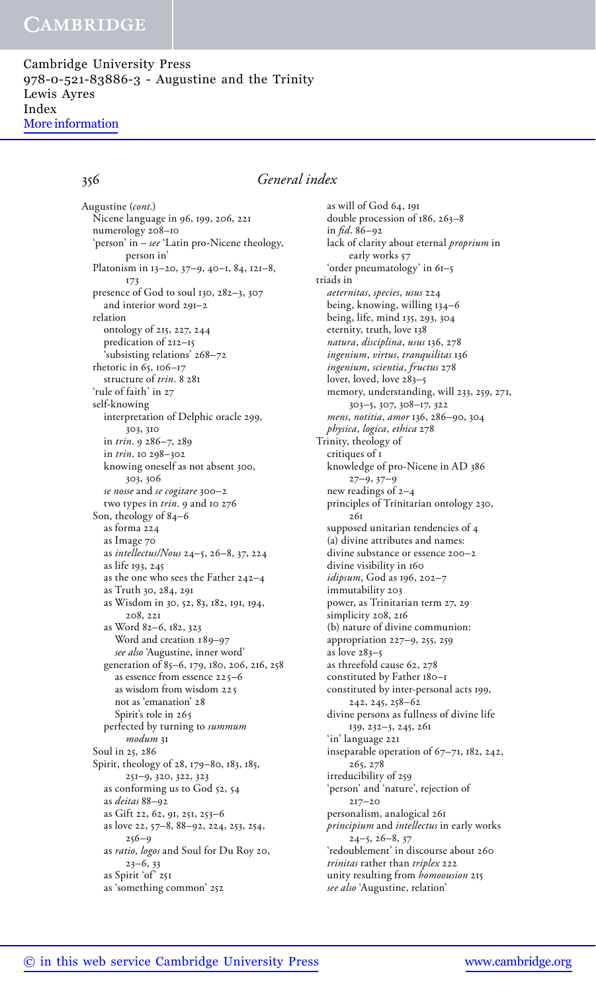Cambridge University Press 978-0-521-83886-3 - Augustine and the Trinity Lewis Ayres Index [More information](http://www.cambridge.org/9780521838863)

### 356 *General index*

Nicene language in 96, 199, 206, 221 numerology 208–10 'person' in – *see* 'Latin pro-Nicene theology, person in' Platonism in 13–20, 37–9, 40–1, 84, 121–8, 173 presence of God to soul 130, 282–3, 307 and interior word 291–2 relation ontology of 215, 227, 244 predication of 212–15 'subsisting relations' 268–72 rhetoric in 65, 106–17 structure of *trin*. 8 281 'rule of faith' in 27 self-knowing interpretation of Delphic oracle 299, 303, 310 in *trin*. 9 286–7, 289 in *trin*. 10 298–302 knowing oneself as not absent 300, 303, 306 *se nosse* and *se cogitare* 300–2 two types in *trin*. 9 and 10 276 Son, theology of 84–6 as forma 224 as Image 70 as *intellectus/Nous* 24–5, 26–8, 37, 224 as life 193, 245 as the one who sees the Father 242–4 as Truth 30, 284, 291 as Wisdom in 30, 52, 83, 182, 191, 194, 208, 221 as Word 82–6, 182, 323 Word and creation 189-97 *see also* 'Augustine, inner word' generation of 85–6, 179, 180, 206, 216, 258 as essence from essence  $225 - 6$ as wisdom from wisdom not as 'emanation' Spirit's role in 265 perfected by turning to *summum modum* 31 Soul in 25, 286 Spirit, theology of 28, 179–80, 183, 185, 251–9, 320, 322, 323 as conforming us to God 52, 54 as *deitas* 88–92 as Gift 22, 62, 91, 251, 253–6 as love 22, 57–8, 88–92, 224, 253, 254, 256–9 as *ratio*, *logos* and Soul for Du Roy 20, 23–6, 33 as Spirit 'of' 251 as 'something common' 252 Augustine (*cont.*)

as will of God 64, 191 double procession of 186, 263–8 in *fid*. 86–92 lack of clarity about eternal *proprium* in early works 57 'order pneumatology' in 61–5 triads in *aeternitas*, *species*, *usus* 224 being, knowing, willing 134–6 being, life, mind 135, 293, 304 eternity, truth, love 138 *natura*, *disciplina*, *usus* 136, 278 *ingenium*, *virtus*, *tranquilitas* 136 *ingenium*, *scientia*, *fructus* 278 lover, loved, love 283-5 memory, understanding, will 233, 259, 271, 303–5, 307, 308–17, 322 *mens*, *notitia*, *amor* 136, 286–90, 304 *physica*, *logica*, *ethica* 278 Trinity, theology of critiques of 1 knowledge of pro-Nicene in AD 386 27–9, 37–9 new readings of 2–4 principles of Trinitarian ontology 230, 261 supposed unitarian tendencies of 4 (a) divine attributes and names: divine substance or essence 200–2 divine visibility in 160 *idipsum*, God as 196, 202–7 immutability 203 power, as Trinitarian term 27, 29 simplicity 208, 216 (b) nature of divine communion: appropriation 227–9, 255, 259 as love 283–5 as threefold cause 62, 278 constituted by Father 180–1 constituted by inter-personal acts 199, 242, 245, 258–62 divine persons as fullness of divine life 139, 232–3, 245, 261 'in' language 221 inseparable operation of 67–71, 182, 242, 265, 278 irreducibility of 259 'person' and 'nature', rejection of 217–20 personalism, analogical 261 *principium* and *intellectus* in early works  $24-5, 26-8, 37$ 'redoublement' in discourse about 260 *trinitas* rather than *triplex* 222 unity resulting from *homoousion* 215 *see also* 'Augustine, relation'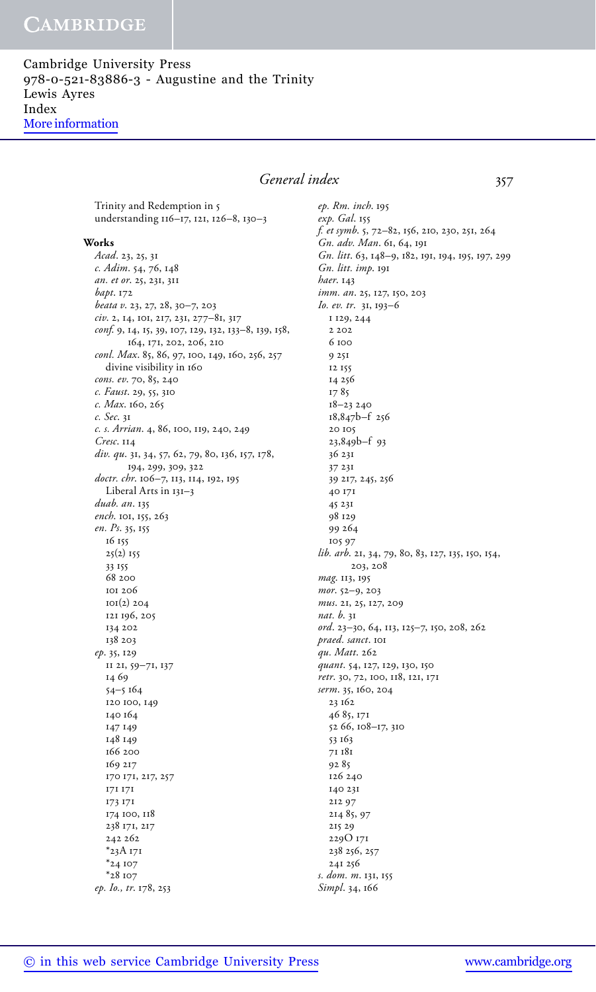Cambridge University Press 978-0-521-83886-3 - Augustine and the Trinity Lewis Ayres Index [More information](http://www.cambridge.org/9780521838863)

### General index 357

Trinity and Redemption in 5 understanding 116–17, 121, 126–8, 130–3

#### **Works**

*Acad*. 23, 25, 31 *c. Adim*. 54, 76, 148 *an. et or*. 25, 231, 311 *bapt*. 172 *beata v*. 23, 27, 28, 30–7, 203 *civ*. 2, 14, 101, 217, 231, 277–81, 317 *conf*. 9, 14, 15, 39, 107, 129, 132, 133–8, 139, 158, 164, 171, 202, 206, 210 *conl. Max*. 85, 86, 97, 100, 149, 160, 256, 257 divine visibility in 160 *cons. ev*. 70, 85, 240 *c. Faust*. 29, 55, 310 *c. Max*. 160, 265 *c. Sec*. 31 *c. s. Arrian*. 4, 86, 100, 119, 240, 249 *Cresc*. 114 *div. qu*. 31, 34, 57, 62, 79, 80, 136, 157, 178, 194, 299, 309, 322 *doctr. chr*. 106–7, 113, 114, 192, 195 Liberal Arts in 131–3 *duab. an*. 135 *ench*. 101, 155, 263 *en. Ps*. 35, 155 16 155  $25(2)$  155 33 155 68 200 101 206 101(2) 204 121 196, 205 134 202 138 203 *ep*. 35, 129 11 21, 59–71, 137 14 69 54–5 164 120 100, 149 140 164 147 149 148 149 166 200 169 217 170 171, 217, 257 171 171 173 171 174 100, 118 238 171, 217 242 262 \*23A 171 \*24 107 \*28 107

*ep. Rm. inch*. 195 *exp. Gal*. 155 *f. et symb*. 5, 72–82, 156, 210, 230, 251, 264 *Gn. adv. Man*. 61, 64, 191 *Gn. litt*. 63, 148–9, 182, 191, 194, 195, 197, 299 *Gn. litt. imp*. 191 *haer*. 143 *imm. an*. 25, 127, 150, 203 *Io. ev. tr*. 31, 193–6 1 129, 244 2 202 6 100 9 251 12 155 14 256 17 85 18–23 240 18,847b–f 256 20 105 23,849b–f 93 36 231 37 231 39 217, 245, 256 40 171 45 231 98 129 99 264 105 97 *lib. arb*. 21, 34, 79, 80, 83, 127, 135, 150, 154, 203, 208 *mag*. 113, 195 *mor*. 52–9, 203 *mus*. 21, 25, 127, 209 *nat. b*. 31 *ord*. 23–30, 64, 113, 125–7, 150, 208, 262 *praed. sanct*. 101 *qu. Matt*. 262 *quant*. 54, 127, 129, 130, 150 *retr*. 30, 72, 100, 118, 121, 171 *serm*. 35, 160, 204 23 162 46 85, 171 52 66, 108–17, 310 53 163 71 181 92 85 126 240 140 231 212 97 214 85, 97 215 29 229O 171 238 256, 257 241 256 *s. dom. m*. 131, 155

*Simpl*. 34, 166

*ep. Io., tr*. 178, 253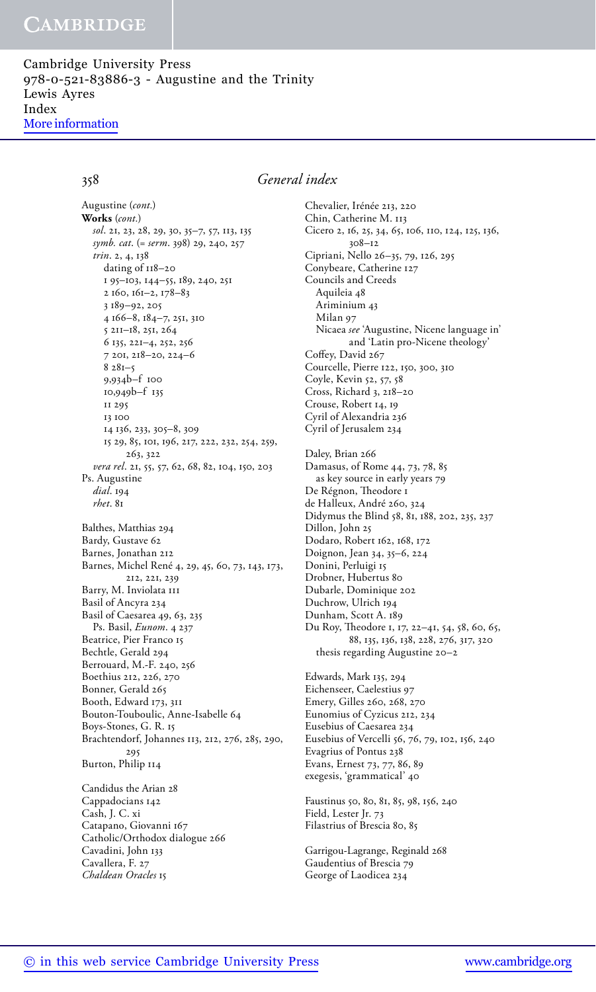Cambridge University Press 978-0-521-83886-3 - Augustine and the Trinity Lewis Ayres Index [More information](http://www.cambridge.org/9780521838863)

358 *General index*

*sol*. 21, 23, 28, 29, 30, 35–7, 57, 113, 135 *symb. cat*. (= *serm*. 398) 29, 240, 257 *trin*. 2, 4, 138 dating of 118–20 1 95–103, 144–55, 189, 240, 251 2 160, 161–2, 178–83 3 189–92, 205 4 166–8, 184–7, 251, 310 5 211–18, 251, 264 6 135, 221–4, 252, 256 7 201, 218–20, 224–6  $8281 - 5$ 9,934b–f 100 10,949b–f 135 11 295 13 100 14 136, 233, 305–8, 309 15 29, 85, 101, 196, 217, 222, 232, 254, 259, 263, 322 *vera rel*. 21, 55, 57, 62, 68, 82, 104, 150, 203 Ps. Augustine *dial*. 194 *rhet*. 81 Balthes, Matthias 294 Bardy, Gustave 62 Barnes, Jonathan 212 Barnes, Michel René 4, 29, 45, 60, 73, 143, 173, 212, 221, 239 Barry, M. Inviolata 111 Basil of Ancyra 234 Basil of Caesarea 49, 63, 235 Ps. Basil, *Eunom*. 4 237 Beatrice, Pier Franco 15 Bechtle, Gerald 294 Berrouard, M.-F. 240, 256 Boethius 212, 226, 270 Bonner, Gerald 265 Booth, Edward 173, 311 Bouton-Touboulic, Anne-Isabelle 64 Boys-Stones, G. R. 15 Brachtendorf, Johannes 113, 212, 276, 285, 290, 295 Burton, Philip 114 Candidus the Arian 28 **Works** (*cont.*) Augustine (*cont.*)

Cappadocians 142 Cash, J. C. xi Catapano, Giovanni 167 Catholic/Orthodox dialogue 266 Cavadini, John 133 Cavallera, F. 27 *Chaldean Oracles* 15

Chevalier, Irénée 213, 220 Chin, Catherine M. 113 Cicero 2, 16, 25, 34, 65, 106, 110, 124, 125, 136, 308–12 Cipriani, Nello 26–35, 79, 126, 295 Conybeare, Catherine 127 Councils and Creeds Aquileia 48 Ariminium 43 Milan 97 Nicaea *see* 'Augustine, Nicene language in' and 'Latin pro-Nicene theology' Coffey, David 267 Courcelle, Pierre 122, 150, 300, 310 Coyle, Kevin 52, 57, 58 Cross, Richard 3, 218–20 Crouse, Robert 14, 19 Cyril of Alexandria 236 Cyril of Jerusalem 234 Daley, Brian 266 Damasus, of Rome 44, 73, 78, 85 as key source in early years 79 De Régnon, Theodore 1 de Halleux, André 260, 324 Didymus the Blind 58, 81, 188, 202, 235, 237 Dillon, John 25 Dodaro, Robert 162, 168, 172 Doignon, Jean 34, 35–6, 224 Donini, Perluigi 15 Drobner, Hubertus 80 Dubarle, Dominique 202 Duchrow, Ulrich 194 Dunham, Scott A. 189 Du Roy, Theodore 1, 17, 22–41, 54, 58, 60, 65, 88, 135, 136, 138, 228, 276, 317, 320 thesis regarding Augustine 20–2 Edwards, Mark 135, 294 Eichenseer, Caelestius 97

Emery, Gilles 260, 268, 270 Eunomius of Cyzicus 212, 234 Eusebius of Caesarea 234 Eusebius of Vercelli 56, 76, 79, 102, 156, 240 Evagrius of Pontus 238 Evans, Ernest 73, 77, 86, 89 exegesis, 'grammatical' 40

Faustinus 50, 80, 81, 85, 98, 156, 240 Field, Lester Jr. 73 Filastrius of Brescia 80, 85

Garrigou-Lagrange, Reginald 268 Gaudentius of Brescia 79 George of Laodicea 234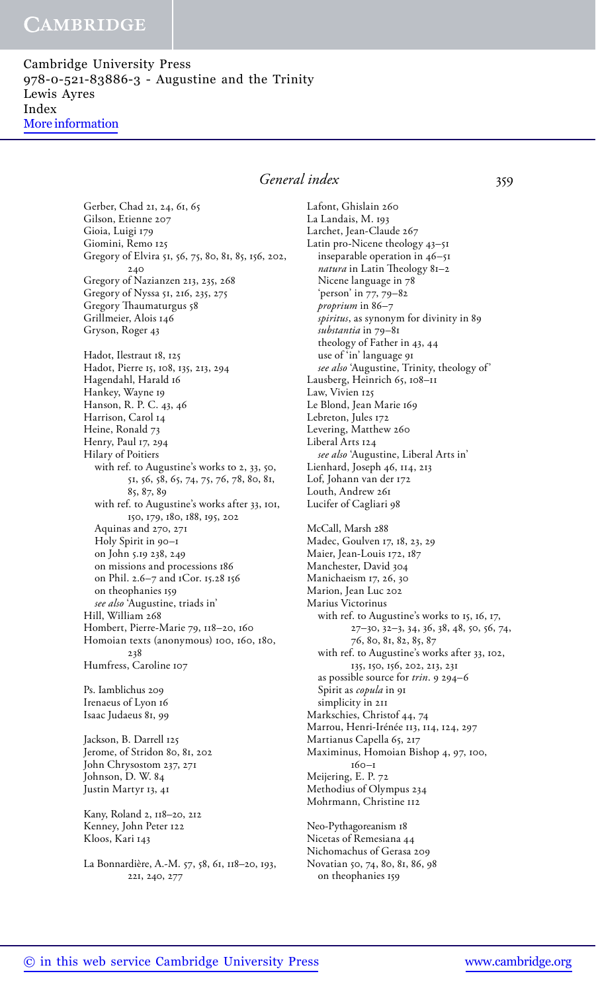Cambridge University Press 978-0-521-83886-3 - Augustine and the Trinity Lewis Ayres Index [More information](http://www.cambridge.org/9780521838863)

### *General index* 359

Gerber, Chad 21, 24, 61, 65 Gilson, Etienne 207 Gioia, Luigi 179 Giomini, Remo 125 Gregory of Elvira 51, 56, 75, 80, 81, 85, 156, 202, 240 Gregory of Nazianzen 213, 235, 268 Gregory of Nyssa 51, 216, 235, 275 Gregory Thaumaturgus 58 Grillmeier, Alois 146 Gryson, Roger 43 Hadot, Ilestraut 18, 125 Hadot, Pierre 15, 108, 135, 213, 294 Hagendahl, Harald 16 Hankey, Wayne 19 Hanson, R. P. C. 43, 46 Harrison, Carol 14 Heine, Ronald 73 Henry, Paul 17, 294 Hilary of Poitiers with ref. to Augustine's works to 2, 33, 50, 51, 56, 58, 65, 74, 75, 76, 78, 80, 81, 85, 87, 89 with ref. to Augustine's works after 33, 101, 150, 179, 180, 188, 195, 202 Aquinas and 270, 271 Holy Spirit in 90–1 on John 5.19 238, 249 on missions and processions 186 on Phil. 2.6–7 and 1Cor. 15.28 156 on theophanies 159 *see also* 'Augustine, triads in' Hill, William 268 Hombert, Pierre-Marie 79, 118–20, 160 Homoian texts (anonymous) 100, 160, 180, 238 Humfress, Caroline 107

Ps. Iamblichus 209 Irenaeus of Lyon 16 Isaac Judaeus 81, 99

Jackson, B. Darrell 125 Jerome, of Stridon 80, 81, 202 John Chrysostom 237, 271 Johnson, D. W. 84 Justin Martyr 13, 41

Kany, Roland 2, 118–20, 212 Kenney, John Peter 122 Kloos, Kari 143

La Bonnardière, A.-M. 57, 58, 61, 118–20, 193, 221, 240, 277

Lafont, Ghislain 260 La Landais, M. 193 Larchet, Jean-Claude 267 Latin pro-Nicene theology 43–51 inseparable operation in 46–51 *natura* in Latin Theology 81–2 Nicene language in 78 'person' in 77, 79–82 *proprium* in 86–7 *spiritus*, as synonym for divinity in 89 *substantia* in 79–81 theology of Father in 43, 44 use of 'in' language 91 *see also* 'Augustine, Trinity, theology of' Lausberg, Heinrich 65, 108–11 Law, Vivien 125 Le Blond, Jean Marie 169 Lebreton, Jules 172 Levering, Matthew 260 Liberal Arts 124 *see also* 'Augustine, Liberal Arts in' Lienhard, Joseph 46, 114, 213 Lof, Johann van der 172 Louth, Andrew 261 Lucifer of Cagliari 98

McCall, Marsh 288 Madec, Goulven 17, 18, 23, 29 Maier, Jean-Louis 172, 187 Manchester, David 304 Manichaeism 17, 26, 30 Marion, Jean Luc 202 Marius Victorinus with ref. to Augustine's works to 15, 16, 17, 27–30, 32–3, 34, 36, 38, 48, 50, 56, 74, 76, 80, 81, 82, 85, 87 with ref. to Augustine's works after 33, 102, 135, 150, 156, 202, 213, 231 as possible source for *trin*. 9 294–6 Spirit as *copula* in 91 simplicity in 211 Markschies, Christof 44, 74 Marrou, Henri-Irénée 113, 114, 124, 297 Martianus Capella 65, 217 Maximinus, Homoian Bishop 4, 97, 100, 160–1 Meijering, E. P. 72 Methodius of Olympus 234 Mohrmann, Christine 112

Neo-Pythagoreanism 18 Nicetas of Remesiana 44 Nichomachus of Gerasa 209 Novatian 50, 74, 80, 81, 86, 98 on theophanies 159